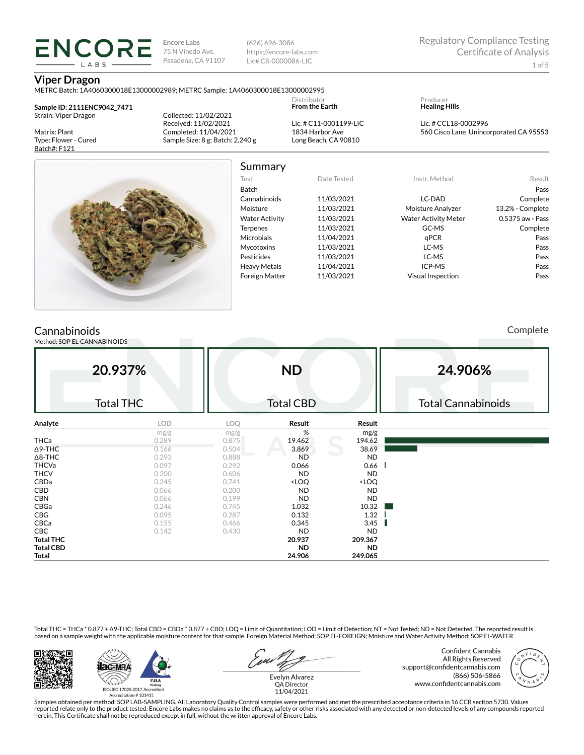(626) 696-3086 https://encore-labs.com Lic# C8-0000086-LIC

#### **Viper Dragon**

METRC Batch: 1A4060300018E13000002989; METRC Sample: 1A4060300018E13000002995

**Sample ID: 2111ENC9042\_7471** Strain: Viper Dragon

LABS

Matrix: Plant Type: Flower - Cured Batch#: F121

Collected: 11/02/2021 Received: 11/02/2021 Completed: 11/04/2021 Sample Size: 8 g; Batch: 2,240 g

Lic. # C11-0001199-LIC 1834 Harbor Ave Long Beach, CA 90810

Distributor **From the Earth**

| Producer             |
|----------------------|
| <b>Healing Hills</b> |

Lic. # CCL18-0002996 560 Cisco Lane Unincorporated CA 95553



## Summary

| Test                  | Date Tested | Instr. Method               | Result           |
|-----------------------|-------------|-----------------------------|------------------|
| Batch                 |             |                             | Pass             |
| Cannabinoids          | 11/03/2021  | LC-DAD                      | Complete         |
| Moisture              | 11/03/2021  | Moisture Analyzer           | 13.2% - Complete |
| <b>Water Activity</b> | 11/03/2021  | <b>Water Activity Meter</b> | 0.5375 aw - Pass |
| <b>Terpenes</b>       | 11/03/2021  | GC-MS                       | Complete         |
| <b>Microbials</b>     | 11/04/2021  | qPCR                        | Pass             |
| <b>Mycotoxins</b>     | 11/03/2021  | LC-MS                       | Pass             |
| Pesticides            | 11/03/2021  | LC-MS                       | Pass             |
| <b>Heavy Metals</b>   | 11/04/2021  | ICP-MS                      | Pass             |
| <b>Foreign Matter</b> | 11/03/2021  | <b>Visual Inspection</b>    | Pass             |
|                       |             |                             |                  |

## **Cannabinoids**

Method: SOP EL-CANNABINOIDS

Complete

|                  | 20.937%<br><b>Total THC</b> |       | <b>ND</b><br><b>Total CBD</b>                            |                              | 24.906%<br><b>Total Cannabinoids</b> |
|------------------|-----------------------------|-------|----------------------------------------------------------|------------------------------|--------------------------------------|
| Analyte          | <b>LOD</b>                  | LOQ   | Result                                                   | Result                       |                                      |
|                  | mg/g                        | mg/g  | %                                                        | mg/g                         |                                      |
| THCa             | 0.289                       | 0.875 | 19.462                                                   | 194.62                       |                                      |
| $\Delta$ 9-THC   | 0.166                       | 0.504 | 3.869                                                    | 38.69                        |                                      |
| $\Delta$ 8-THC   | 0.293                       | 0.888 | <b>ND</b>                                                | <b>ND</b>                    |                                      |
| <b>THCVa</b>     | 0.097                       | 0.292 | 0.066                                                    | 0.66                         |                                      |
| <b>THCV</b>      | 0.200                       | 0.606 | <b>ND</b>                                                | <b>ND</b>                    |                                      |
| CBDa             | 0.245                       | 0.741 | <loq< td=""><td><loq< td=""><td></td></loq<></td></loq<> | <loq< td=""><td></td></loq<> |                                      |
| CBD              | 0.066                       | 0.200 | <b>ND</b>                                                | <b>ND</b>                    |                                      |
| <b>CBN</b>       | 0.066                       | 0.199 | <b>ND</b>                                                | <b>ND</b>                    |                                      |
| CBGa             | 0.246                       | 0.745 | 1.032                                                    | 10.32                        |                                      |
| CBG              | 0.095                       | 0.287 | 0.132                                                    | 1.32                         |                                      |
| CBCa             | 0.155                       | 0.466 | 0.345                                                    | 3.45                         |                                      |
| <b>CBC</b>       | 0.142                       | 0.430 | <b>ND</b>                                                | <b>ND</b>                    |                                      |
| <b>Total THC</b> |                             |       | 20.937                                                   | 209.367                      |                                      |
| <b>Total CBD</b> |                             |       | <b>ND</b>                                                | <b>ND</b>                    |                                      |
| <b>Total</b>     |                             |       | 24.906                                                   | 249.065                      |                                      |

Total THC = THCa \* 0.877 + ∆9-THC; Total CBD = CBDa \* 0.877 + CBD; LOQ = Limit of Quantitation; LOD = Limit of Detection; NT = Not Tested; ND = Not Detected. The reported result is based on a sample weight with the applicable moisture content for that sample. Foreign Material Method: SOP EL-FOREIGN; Moisture and Water Activity Method: SOP EL-WATER





Confident Cannabis All Rights Reserved support@confidentcannabis.com (866) 506-5866 www.confidentcannabis.com



Evelyn Alvarez QA Director 11/04/2021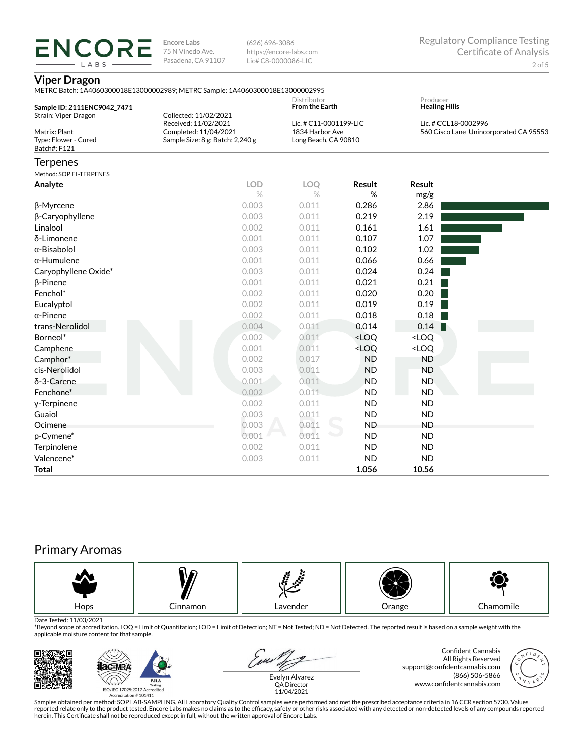(626) 696-3086 https://encore-labs.com Lic# C8-0000086-LIC

#### **Viper Dragon**

**ENCORE** LABS

| METRC Batch: 1A4060300018E13000002989: METRC Sample: 1A4060300018E13000002995 |                       |  |  |  |  |
|-------------------------------------------------------------------------------|-----------------------|--|--|--|--|
|                                                                               | Distributor           |  |  |  |  |
| Sample ID: 2111ENC9042 7471                                                   | <b>From the Earth</b> |  |  |  |  |

| Sample ID: 2111ENC9042 7471 |                                  | Distributor<br><b>From the Earth</b> | Producer<br><b>Healing Hills</b>       |
|-----------------------------|----------------------------------|--------------------------------------|----------------------------------------|
| Strain: Viper Dragon        | Collected: 11/02/2021            |                                      |                                        |
|                             | Received: 11/02/2021             | Lic. # C11-0001199-LIC               | Lic. # CCL18-0002996                   |
| Matrix: Plant               | Completed: 11/04/2021            | 1834 Harbor Ave                      | 560 Cisco Lane Unincorporated CA 95553 |
| Type: Flower - Cured        | Sample Size: 8 g; Batch: 2,240 g | Long Beach, CA 90810                 |                                        |
| Batch#: F121                |                                  |                                      |                                        |
|                             |                                  |                                      |                                        |

### Terpenes

Method: SOP EL-TERPENES

| Method: SOP EL-TERPENES |            |            |                                                          |                              |  |
|-------------------------|------------|------------|----------------------------------------------------------|------------------------------|--|
| Analyte                 | <b>LOD</b> | <b>LOO</b> | Result                                                   | <b>Result</b>                |  |
|                         | $\%$       | $\%$       | %                                                        | mg/g                         |  |
| β-Myrcene               | 0.003      | 0.011      | 0.286                                                    | 2.86                         |  |
| β-Caryophyllene         | 0.003      | 0.011      | 0.219                                                    | 2.19                         |  |
| Linalool                | 0.002      | 0.011      | 0.161                                                    | 1.61                         |  |
| δ-Limonene              | 0.001      | 0.011      | 0.107                                                    | 1.07                         |  |
| $\alpha$ -Bisabolol     | 0.003      | 0.011      | 0.102                                                    | 1.02                         |  |
| $\alpha$ -Humulene      | 0.001      | 0.011      | 0.066                                                    | 0.66                         |  |
| Caryophyllene Oxide*    | 0.003      | 0.011      | 0.024                                                    | 0.24                         |  |
| $\beta$ -Pinene         | 0.001      | 0.011      | 0.021                                                    | 0.21                         |  |
| Fenchol*                | 0.002      | 0.011      | 0.020                                                    | 0.20                         |  |
| Eucalyptol              | 0.002      | 0.011      | 0.019                                                    | 0.19                         |  |
| $\alpha$ -Pinene        | 0.002      | 0.011      | 0.018                                                    | 0.18                         |  |
| trans-Nerolidol         | 0.004      | 0.011      | 0.014                                                    | 0.14                         |  |
| Borneol*                | 0.002      | 0.011      | <loq< th=""><th><loq< th=""><th></th></loq<></th></loq<> | <loq< th=""><th></th></loq<> |  |
| Camphene                | 0.001      | 0.011      | <loq< th=""><th><loq< th=""><th></th></loq<></th></loq<> | <loq< th=""><th></th></loq<> |  |
| Camphor*                | 0.002      | 0.017      | <b>ND</b>                                                | ND                           |  |
| cis-Nerolidol           | 0.003      | 0.011      | <b>ND</b>                                                | <b>ND</b>                    |  |
| δ-3-Carene              | 0.001      | 0.011      | <b>ND</b>                                                | <b>ND</b>                    |  |
| Fenchone*               | 0.002      | 0.011      | <b>ND</b>                                                | <b>ND</b>                    |  |
| y-Terpinene             | 0.002      | 0.011      | <b>ND</b>                                                | <b>ND</b>                    |  |
| Guaiol                  | 0.003      | 0.011      | <b>ND</b>                                                | <b>ND</b>                    |  |
| Ocimene                 | 0.003      | 0.011      | <b>ND</b>                                                | <b>ND</b>                    |  |
| p-Cymene*               | 0.001      | 0.011      | <b>ND</b>                                                | <b>ND</b>                    |  |
| Terpinolene             | 0.002      | 0.011      | <b>ND</b>                                                | <b>ND</b>                    |  |
| Valencene*              | 0.003      | 0.011      | <b>ND</b>                                                | <b>ND</b>                    |  |
| Total                   |            |            | 1.056                                                    | 10.56                        |  |

# Primary Aromas



Date Tested: 11/03/2021<br>\*Beyond scope of accreditation. LOQ = Limit of Quantitation; LOD = Limit of Detection; NT = Not Tested; ND = Not Detected. The reported result is based on a sample weight with the applicable moisture content for that sample.



Confident Cannabis All Rights Reserved support@confidentcannabis.com (866) 506-5866 www.confidentcannabis.com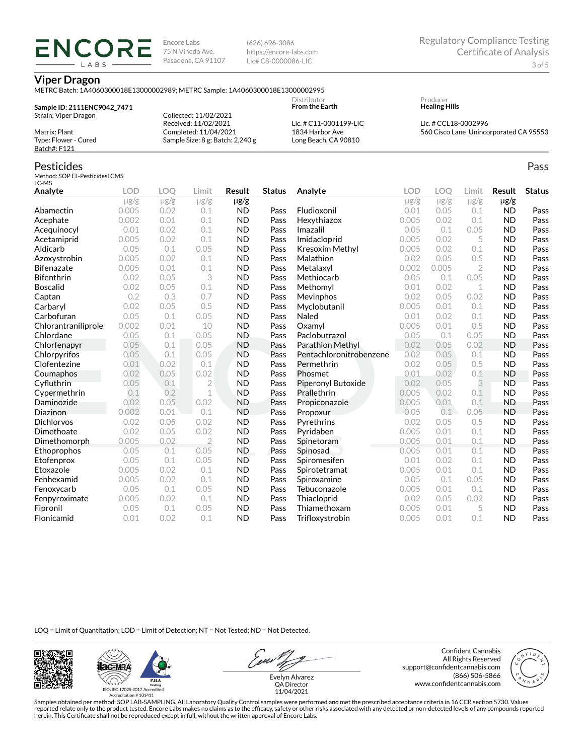(626) 696-3086 https://encore-labs.com Lic# C8-0000086-LIC

### **Viper Dragon**

**ENCORE** LABS

|                             |                                  | <b>Distributor</b>     | Producer               |
|-----------------------------|----------------------------------|------------------------|------------------------|
| Sample ID: 2111ENC9042 7471 |                                  | <b>From the Earth</b>  | <b>Healing Hills</b>   |
| Strain: Viper Dragon        | Collected: 11/02/2021            |                        |                        |
|                             | Received: 11/02/2021             | Lic. # C11-0001199-LIC | Lic. # CCL18-0002996   |
| Matrix: Plant               | Completed: 11/04/2021            | 1834 Harbor Ave        | 560 Cisco Lane Unincor |
| Type: Flower - Cured        | Sample Size: 8 g; Batch: 2,240 g | Long Beach, CA 90810   |                        |
| Batch#: F121                |                                  |                        |                        |

### Pesticides

Method: SOP EL-PesticidesLCMS LC-MS

| Analyte             | <b>LOD</b> | <b>LOO</b> | Limit          | <b>Result</b> | <b>Status</b> | Analyte                 | <b>LOD</b> | LOO       | Limit          | <b>Result</b> | <b>Status</b> |
|---------------------|------------|------------|----------------|---------------|---------------|-------------------------|------------|-----------|----------------|---------------|---------------|
|                     | $\mu$ g/g  | $\mu$ g/g  | $\mu$ g/g      | $\mu$ g/g     |               |                         | $\mu$ g/g  | $\mu$ g/g | $\mu$ g/g      | $\mu$ g/g     |               |
| Abamectin           | 0.005      | 0.02       | 0.1            | <b>ND</b>     | Pass          | Fludioxonil             | 0.01       | 0.05      | 0.1            | <b>ND</b>     | Pass          |
| Acephate            | 0.002      | 0.01       | 0.1            | <b>ND</b>     | Pass          | Hexythiazox             | 0.005      | 0.02      | 0.1            | <b>ND</b>     | Pass          |
| Acequinocyl         | 0.01       | 0.02       | 0.1            | <b>ND</b>     | Pass          | Imazalil                | 0.05       | 0.1       | 0.05           | <b>ND</b>     | Pass          |
| Acetamiprid         | 0.005      | 0.02       | 0.1            | <b>ND</b>     | Pass          | Imidacloprid            | 0.005      | 0.02      | 5              | <b>ND</b>     | Pass          |
| Aldicarb            | 0.05       | 0.1        | 0.05           | <b>ND</b>     | Pass          | Kresoxim Methyl         | 0.005      | 0.02      | 0.1            | <b>ND</b>     | Pass          |
| Azoxystrobin        | 0.005      | 0.02       | 0.1            | <b>ND</b>     | Pass          | Malathion               | 0.02       | 0.05      | 0.5            | <b>ND</b>     | Pass          |
| <b>Bifenazate</b>   | 0.005      | 0.01       | 0.1            | <b>ND</b>     | Pass          | Metalaxyl               | 0.002      | 0.005     | $\overline{2}$ | <b>ND</b>     | Pass          |
| <b>Bifenthrin</b>   | 0.02       | 0.05       | 3              | <b>ND</b>     | Pass          | Methiocarb              | 0.05       | 0.1       | 0.05           | <b>ND</b>     | Pass          |
| <b>Boscalid</b>     | 0.02       | 0.05       | 0.1            | <b>ND</b>     | Pass          | Methomyl                | 0.01       | 0.02      | 1              | <b>ND</b>     | Pass          |
| Captan              | 0.2        | 0.3        | 0.7            | <b>ND</b>     | Pass          | Mevinphos               | 0.02       | 0.05      | 0.02           | <b>ND</b>     | Pass          |
| Carbaryl            | 0.02       | 0.05       | 0.5            | <b>ND</b>     | Pass          | Myclobutanil            | 0.005      | 0.01      | 0.1            | <b>ND</b>     | Pass          |
| Carbofuran          | 0.05       | 0.1        | 0.05           | <b>ND</b>     | Pass          | Naled                   | 0.01       | 0.02      | 0.1            | <b>ND</b>     | Pass          |
| Chlorantraniliprole | 0.002      | 0.01       | 10             | <b>ND</b>     | Pass          | Oxamvl                  | 0.005      | 0.01      | 0.5            | <b>ND</b>     | Pass          |
| Chlordane           | 0.05       | 0.1        | 0.05           | <b>ND</b>     | Pass          | Paclobutrazol           | 0.05       | 0.1       | 0.05           | <b>ND</b>     | Pass          |
| Chlorfenapyr        | 0.05       | 0.1        | 0.05           | <b>ND</b>     | Pass          | <b>Parathion Methyl</b> | 0.02       | 0.05      | 0.02           | <b>ND</b>     | Pass          |
| Chlorpyrifos        | 0.05       | 0.1        | 0.05           | <b>ND</b>     | Pass          | Pentachloronitrobenzene | 0.02       | 0.05      | 0.1            | <b>ND</b>     | Pass          |
| Clofentezine        | 0.01       | 0.02       | 0.1            | <b>ND</b>     | Pass          | Permethrin              | 0.02       | 0.05      | 0.5            | <b>ND</b>     | Pass          |
| Coumaphos           | 0.02       | 0.05       | 0.02           | <b>ND</b>     | Pass          | Phosmet                 | 0.01       | 0.02      | 0.1            | <b>ND</b>     | Pass          |
| Cyfluthrin          | 0.05       | 0.1        | $\overline{2}$ | <b>ND</b>     | Pass          | Piperonyl Butoxide      | 0.02       | 0.05      | 3              | <b>ND</b>     | Pass          |
| Cypermethrin        | 0.1        | 0.2        | $\mathbf 1$    | <b>ND</b>     | Pass          | Prallethrin             | 0.005      | 0.02      | 0.1            | <b>ND</b>     | Pass          |
| Daminozide          | 0.02       | 0.05       | 0.02           | <b>ND</b>     | Pass          | Propiconazole           | 0.005      | 0.01      | 0.1            | <b>ND</b>     | Pass          |
| Diazinon            | 0.002      | 0.01       | 0.1            | <b>ND</b>     | Pass          | Propoxur                | 0.05       | 0.1       | 0.05           | <b>ND</b>     | Pass          |
| <b>Dichlorvos</b>   | 0.02       | 0.05       | 0.02           | <b>ND</b>     | Pass          | Pyrethrins              | 0.02       | 0.05      | 0.5            | <b>ND</b>     | Pass          |
| Dimethoate          | 0.02       | 0.05       | 0.02           | <b>ND</b>     | Pass          | Pyridaben               | 0.005      | 0.01      | 0.1            | <b>ND</b>     | Pass          |
| Dimethomorph        | 0.005      | 0.02       | $\overline{2}$ | <b>ND</b>     | Pass          | Spinetoram              | 0.005      | 0.01      | 0.1            | <b>ND</b>     | Pass          |
| Ethoprophos         | 0.05       | 0.1        | 0.05           | <b>ND</b>     | Pass          | Spinosad                | 0.005      | 0.01      | 0.1            | <b>ND</b>     | Pass          |
| Etofenprox          | 0.05       | 0.1        | 0.05           | <b>ND</b>     | Pass          | Spiromesifen            | 0.01       | 0.02      | 0.1            | <b>ND</b>     | Pass          |
| Etoxazole           | 0.005      | 0.02       | 0.1            | <b>ND</b>     | Pass          | Spirotetramat           | 0.005      | 0.01      | 0.1            | <b>ND</b>     | Pass          |
| Fenhexamid          | 0.005      | 0.02       | 0.1            | <b>ND</b>     | Pass          | Spiroxamine             | 0.05       | 0.1       | 0.05           | <b>ND</b>     | Pass          |
| Fenoxycarb          | 0.05       | 0.1        | 0.05           | <b>ND</b>     | Pass          | Tebuconazole            | 0.005      | 0.01      | 0.1            | <b>ND</b>     | Pass          |
| Fenpyroximate       | 0.005      | 0.02       | 0.1            | <b>ND</b>     | Pass          | Thiacloprid             | 0.02       | 0.05      | 0.02           | <b>ND</b>     | Pass          |
| Fipronil            | 0.05       | 0.1        | 0.05           | <b>ND</b>     | Pass          | Thiamethoxam            | 0.005      | 0.01      | 5              | <b>ND</b>     | Pass          |
| Flonicamid          | 0.01       | 0.02       | 0.1            | <b>ND</b>     | Pass          | Trifloxystrobin         | 0.005      | 0.01      | 0.1            | <b>ND</b>     | Pass          |

LOQ = Limit of Quantitation; LOD = Limit of Detection; NT = Not Tested; ND = Not Detected.





Evelyn Alvarez QA Director

Confident Cannabis All Rights Reserved support@confidentcannabis.com (866) 506-5866 www.confidentcannabis.com



11/04/2021

Samples obtained per method: SOP LAB-SAMPLING. All Laboratory Quality Control samples were performed and met the prescribed acceptance criteria in 16 CCR section 5730. Values reported relate only to the product tested. Encore Labs makes no claims as to the efficacy, safety or other risks associated with any detected or non-detected levels of any compounds reported<br>herein. This Certificate shall

rporated CA 95553

Pass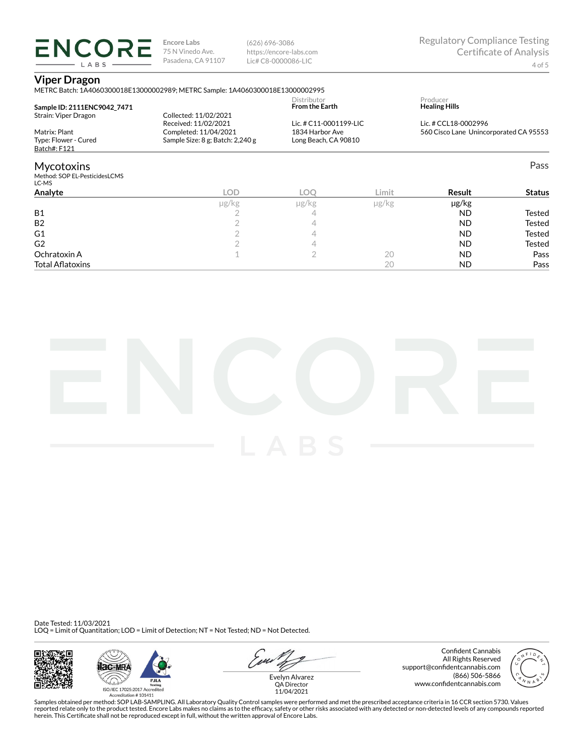(626) 696-3086 https://encore-labs.com Lic# C8-0000086-LIC

### **Viper Dragon**

**ENCORE** LABS

|                                        | METRC Batch: 1A4060300018E13000002989; METRC Sample: 1A4060300018E13000002995 |                                      |            |                                        |               |
|----------------------------------------|-------------------------------------------------------------------------------|--------------------------------------|------------|----------------------------------------|---------------|
| Sample ID: 2111ENC9042 7471            |                                                                               | Distributor<br><b>From the Earth</b> |            | Producer<br><b>Healing Hills</b>       |               |
| Strain: Viper Dragon                   | Collected: 11/02/2021<br>Received: 11/02/2021                                 | Lic. # C11-0001199-LIC               |            | Lic. # CCL18-0002996                   |               |
| Matrix: Plant                          | Completed: 11/04/2021                                                         | 1834 Harbor Ave                      |            | 560 Cisco Lane Unincorporated CA 95553 |               |
| Type: Flower - Cured<br>Batch#: F121   | Sample Size: 8 g; Batch: 2,240 g<br>Long Beach, CA 90810                      |                                      |            |                                        |               |
| <b>Mycotoxins</b>                      |                                                                               |                                      |            |                                        | Pass          |
| Method: SOP EL-PesticidesLCMS<br>LC-MS |                                                                               |                                      |            |                                        |               |
| Analyte                                | <b>LOD</b>                                                                    | LOO                                  | Limit      | Result                                 | <b>Status</b> |
|                                        | µg/kg                                                                         | µg/kg                                | $\mu$ g/kg | µg/kg                                  |               |
| <b>B1</b>                              |                                                                               | 4                                    |            | ND.                                    | Tested        |
| B <sub>2</sub>                         |                                                                               | 4                                    |            | ND.                                    | Tested        |
| G1                                     |                                                                               | 4                                    |            | ND.                                    | Tested        |
| G <sub>2</sub>                         |                                                                               | 4                                    |            | ND.                                    | <b>Tested</b> |
| Ochratoxin A                           |                                                                               | $\overline{2}$                       | 20         | ND.                                    | Pass          |
| <b>Total Aflatoxins</b>                |                                                                               |                                      | 20         | <b>ND</b>                              | Pass          |



Date Tested: 11/03/2021 LOQ = Limit of Quantitation; LOD = Limit of Detection; NT = Not Tested; ND = Not Detected.







Confident Cannabis All Rights Reserved support@confidentcannabis.com (866) 506-5866 www.confidentcannabis.com



QA Director 11/04/2021